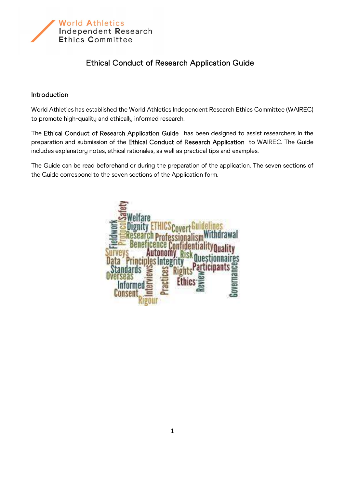

## Ethical Conduct of Research Application Guide

## Introduction

World Athletics has established the World Athletics Independent Research Ethics Committee (WAIREC) to promote high-quality and ethically informed research.

The Ethical Conduct of Research Application Guide has been designed to assist researchers in the preparation and submission of the Ethical Conduct of Research Application to WAIREC. The Guide includes explanatory notes, ethical rationales, as well as practical tips and examples.

The Guide can be read beforehand or during the preparation of the application. The seven sections of the Guide correspond to the seven sections of the Application form.

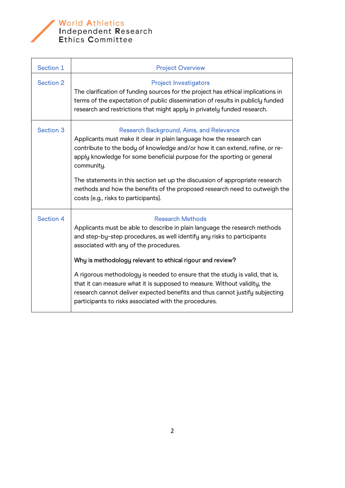

World Athletics<br>Independent Research<br>Ethics Committee

| <b>Project Overview</b>                                                                                                                                                                                                                                                                                                                                                                                                                                                                                                                                                                       |
|-----------------------------------------------------------------------------------------------------------------------------------------------------------------------------------------------------------------------------------------------------------------------------------------------------------------------------------------------------------------------------------------------------------------------------------------------------------------------------------------------------------------------------------------------------------------------------------------------|
| <b>Project Investigators</b><br>The clarification of funding sources for the project has ethical implications in<br>terms of the expectation of public dissemination of results in publicly funded<br>research and restrictions that might apply in privately funded research.                                                                                                                                                                                                                                                                                                                |
| <b>Research Background, Aims, and Relevance</b><br>Applicants must make it clear in plain language how the research can<br>contribute to the body of knowledge and/or how it can extend, refine, or re-<br>apply knowledge for some beneficial purpose for the sporting or general<br>community.<br>The statements in this section set up the discussion of appropriate research<br>methods and how the benefits of the proposed research need to outweigh the<br>costs (e.g., risks to participants).                                                                                        |
| <b>Research Methods</b><br>Applicants must be able to describe in plain language the research methods<br>and step-by-step procedures, as well identify any risks to participants<br>associated with any of the procedures.<br>Why is methodology relevant to ethical rigour and review?<br>A rigorous methodology is needed to ensure that the study is valid, that is,<br>that it can measure what it is supposed to measure. Without validity, the<br>research cannot deliver expected benefits and thus cannot justify subjecting<br>participants to risks associated with the procedures. |
|                                                                                                                                                                                                                                                                                                                                                                                                                                                                                                                                                                                               |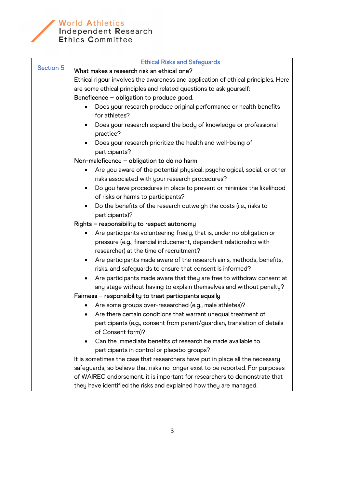

## World Athletics<br>Independent Research<br>Ethics Committee

|                  | <b>Ethical Risks and Safeguards</b>                                                                                            |
|------------------|--------------------------------------------------------------------------------------------------------------------------------|
| <b>Section 5</b> | What makes a research risk an ethical one?                                                                                     |
|                  | Ethical rigour involves the awareness and application of ethical principles. Here                                              |
|                  | are some ethical principles and related questions to ask yourself:                                                             |
|                  | Beneficence - obligation to produce good.                                                                                      |
|                  | Does your research produce original performance or health benefits                                                             |
|                  | for athletes?                                                                                                                  |
|                  | Does your research expand the body of knowledge or professional<br>$\bullet$                                                   |
|                  | practice?                                                                                                                      |
|                  | Does your research prioritize the health and well-being of                                                                     |
|                  | participants?                                                                                                                  |
|                  | Non-maleficence - obligation to do no harm                                                                                     |
|                  | Are you aware of the potential physical, psychological, social, or other                                                       |
|                  | risks associated with your research procedures?                                                                                |
|                  | Do you have procedures in place to prevent or minimize the likelihood<br>$\bullet$                                             |
|                  | of risks or harms to participants?                                                                                             |
|                  | Do the benefits of the research outweigh the costs (i.e., risks to<br>$\bullet$                                                |
|                  | participants)?                                                                                                                 |
|                  | Rights - responsibility to respect autonomy                                                                                    |
|                  | Are participants volunteering freely, that is, under no obligation or<br>$\bullet$                                             |
|                  | pressure (e.g., financial inducement, dependent relationship with                                                              |
|                  | researcher) at the time of recruitment?                                                                                        |
|                  | Are participants made aware of the research aims, methods, benefits,<br>$\bullet$                                              |
|                  | risks, and safeguards to ensure that consent is informed?                                                                      |
|                  | Are participants made aware that they are free to withdraw consent at                                                          |
|                  | any stage without having to explain themselves and without penalty?<br>Fairness - responsibility to treat participants equally |
|                  | Are some groups over-researched (e.g., male athletes)?                                                                         |
|                  | Are there certain conditions that warrant unequal treatment of                                                                 |
|                  | participants (e.g., consent from parent/guardian, translation of details                                                       |
|                  | of Consent form)?                                                                                                              |
|                  | Can the immediate benefits of research be made available to<br>$\bullet$                                                       |
|                  | participants in control or placebo groups?                                                                                     |
|                  | It is sometimes the case that researchers have put in place all the necessary                                                  |
|                  | safeguards, so believe that risks no longer exist to be reported. For purposes                                                 |
|                  | of WAIREC endorsement, it is important for researchers to demonstrate that                                                     |
|                  | they have identified the risks and explained how they are managed.                                                             |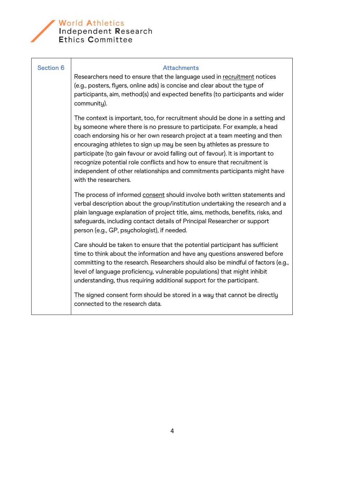

## World Athletics<br>Independent Research<br>Ethics Committee

| <b>Section 6</b> | <b>Attachments</b><br>Researchers need to ensure that the language used in recruitment notices<br>(e.g., posters, flyers, online ads) is concise and clear about the type of<br>participants, aim, method(s) and expected benefits (to participants and wider<br>community).                                                                                                                                                                                                                                                                                                              |
|------------------|-------------------------------------------------------------------------------------------------------------------------------------------------------------------------------------------------------------------------------------------------------------------------------------------------------------------------------------------------------------------------------------------------------------------------------------------------------------------------------------------------------------------------------------------------------------------------------------------|
|                  | The context is important, too, for recruitment should be done in a setting and<br>by someone where there is no pressure to participate. For example, a head<br>coach endorsing his or her own research project at a team meeting and then<br>encouraging athletes to sign up may be seen by athletes as pressure to<br>participate (to gain favour or avoid falling out of favour). It is important to<br>recognize potential role conflicts and how to ensure that recruitment is<br>independent of other relationships and commitments participants might have<br>with the researchers. |
|                  | The process of informed consent should involve both written statements and<br>verbal description about the group/institution undertaking the research and a<br>plain language explanation of project title, aims, methods, benefits, risks, and<br>safeguards, including contact details of Principal Researcher or support<br>person (e.g., GP, psychologist), if needed.                                                                                                                                                                                                                |
|                  | Care should be taken to ensure that the potential participant has sufficient<br>time to think about the information and have any questions answered before<br>committing to the research. Researchers should also be mindful of factors (e.g.,<br>level of language proficiency, vulnerable populations) that might inhibit<br>understanding, thus requiring additional support for the participant.                                                                                                                                                                                      |
|                  | The signed consent form should be stored in a way that cannot be directly<br>connected to the research data.                                                                                                                                                                                                                                                                                                                                                                                                                                                                              |